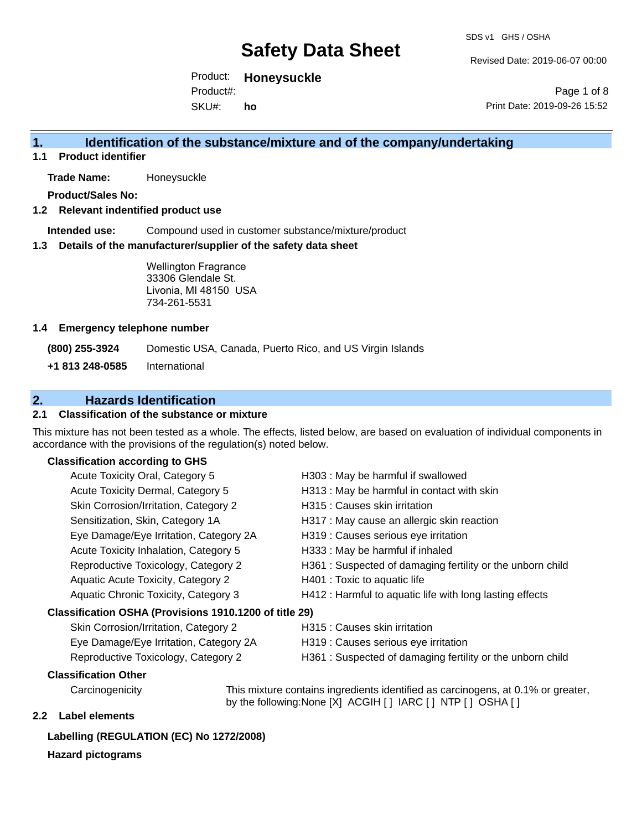Revised Date: 2019-06-07 00:00

Product: **Honeysuckle** Product#:

SKU#: **ho**

Page 1 of 8 Print Date: 2019-09-26 15:52

### **1. Identification of the substance/mixture and of the company/undertaking**

**1.1 Product identifier**

**Trade Name:** Honeysuckle

**Product/Sales No:**

### **1.2 Relevant indentified product use**

**Intended use:** Compound used in customer substance/mixture/product

#### **1.3 Details of the manufacturer/supplier of the safety data sheet**

Wellington Fragrance 33306 Glendale St. Livonia, MI 48150 USA 734-261-5531

#### **1.4 Emergency telephone number**

**(800) 255-3924** Domestic USA, Canada, Puerto Rico, and US Virgin Islands

**+1 813 248-0585** International

## **2. Hazards Identification**

### **2.1 Classification of the substance or mixture**

This mixture has not been tested as a whole. The effects, listed below, are based on evaluation of individual components in accordance with the provisions of the regulation(s) noted below.

### **Classification according to GHS**

| Acute Toxicity Oral, Category 5                        | H303 : May be harmful if swallowed                        |
|--------------------------------------------------------|-----------------------------------------------------------|
| Acute Toxicity Dermal, Category 5                      | H313 : May be harmful in contact with skin                |
| Skin Corrosion/Irritation, Category 2                  | H315 : Causes skin irritation                             |
| Sensitization, Skin, Category 1A                       | H317 : May cause an allergic skin reaction                |
| Eye Damage/Eye Irritation, Category 2A                 | H319 : Causes serious eye irritation                      |
| Acute Toxicity Inhalation, Category 5                  | H333: May be harmful if inhaled                           |
| Reproductive Toxicology, Category 2                    | H361: Suspected of damaging fertility or the unborn child |
| <b>Aquatic Acute Toxicity, Category 2</b>              | H401 : Toxic to aquatic life                              |
| Aquatic Chronic Toxicity, Category 3                   | H412 : Harmful to aquatic life with long lasting effects  |
| Classification OSHA (Provisions 1910.1200 of title 29) |                                                           |
| Skin Corrosion/Irritation, Category 2                  | H315 : Causes skin irritation                             |
| Eye Damage/Eye Irritation, Category 2A                 | H319 : Causes serious eye irritation                      |

- 
- 
- Reproductive Toxicology, Category 2 H361 : Suspected of damaging fertility or the unborn child

### **Classification Other**

Carcinogenicity This mixture contains ingredients identified as carcinogens, at 0.1% or greater, by the following:None [X] ACGIH [ ] IARC [ ] NTP [ ] OSHA [ ]

### **2.2 Label elements**

### **Labelling (REGULATION (EC) No 1272/2008)**

### **Hazard pictograms**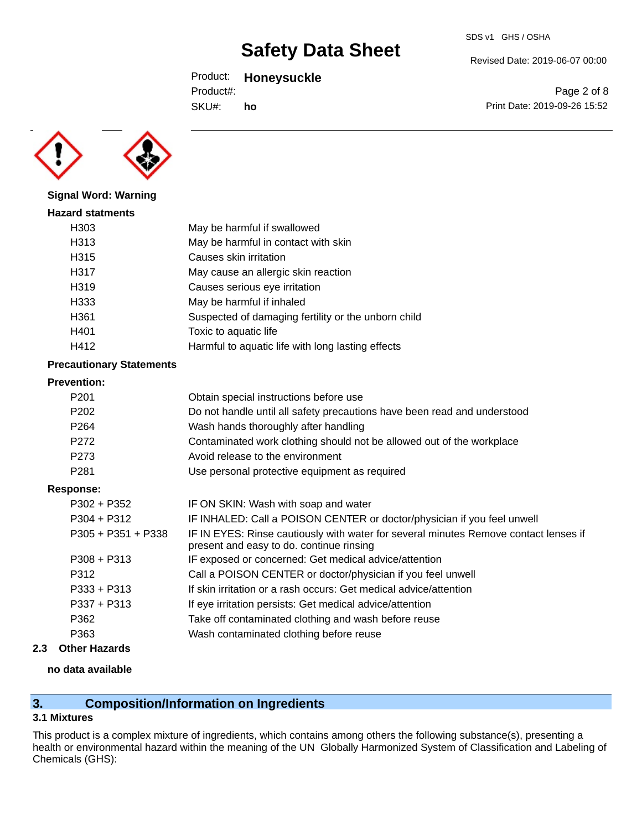### Product: **Honeysuckle**

Product#:

SKU#: **ho** Revised Date: 2019-06-07 00:00

SDS v1 GHS / OSHA

Page 2 of 8 Print Date: 2019-09-26 15:52



**Signal Word: Warning**

## **Hazard statments** H303 May be harmful if swallowed H313 May be harmful in contact with skin H315 Causes skin irritation H317 May cause an allergic skin reaction H319 Causes serious eye irritation H333 May be harmful if inhaled H361 Suspected of damaging fertility or the unborn child H401 Toxic to aquatic life H412 **Harmful to aquatic life with long lasting effects**

### **Precautionary Statements**

#### **Prevention:**

| .                    |                                                                                                                                  |
|----------------------|----------------------------------------------------------------------------------------------------------------------------------|
| P <sub>201</sub>     | Obtain special instructions before use                                                                                           |
| P <sub>202</sub>     | Do not handle until all safety precautions have been read and understood                                                         |
| P <sub>264</sub>     | Wash hands thoroughly after handling                                                                                             |
| P <sub>272</sub>     | Contaminated work clothing should not be allowed out of the workplace                                                            |
| P <sub>273</sub>     | Avoid release to the environment                                                                                                 |
| P <sub>281</sub>     | Use personal protective equipment as required                                                                                    |
| Response:            |                                                                                                                                  |
| $P302 + P352$        | IF ON SKIN: Wash with soap and water                                                                                             |
| $P304 + P312$        | IF INHALED: Call a POISON CENTER or doctor/physician if you feel unwell                                                          |
| $P305 + P351 + P338$ | IF IN EYES: Rinse cautiously with water for several minutes Remove contact lenses if<br>present and easy to do. continue rinsing |
| $P308 + P313$        | IF exposed or concerned: Get medical advice/attention                                                                            |
| P312                 | Call a POISON CENTER or doctor/physician if you feel unwell                                                                      |
| P333 + P313          | If skin irritation or a rash occurs: Get medical advice/attention                                                                |
| $P337 + P313$        | If eye irritation persists: Get medical advice/attention                                                                         |
| P362                 | Take off contaminated clothing and wash before reuse                                                                             |
| P363                 | Wash contaminated clothing before reuse                                                                                          |
|                      |                                                                                                                                  |

### **2.3 Other Hazards**

### **no data available**

## **3. Composition/Information on Ingredients**

### **3.1 Mixtures**

This product is a complex mixture of ingredients, which contains among others the following substance(s), presenting a health or environmental hazard within the meaning of the UN Globally Harmonized System of Classification and Labeling of Chemicals (GHS):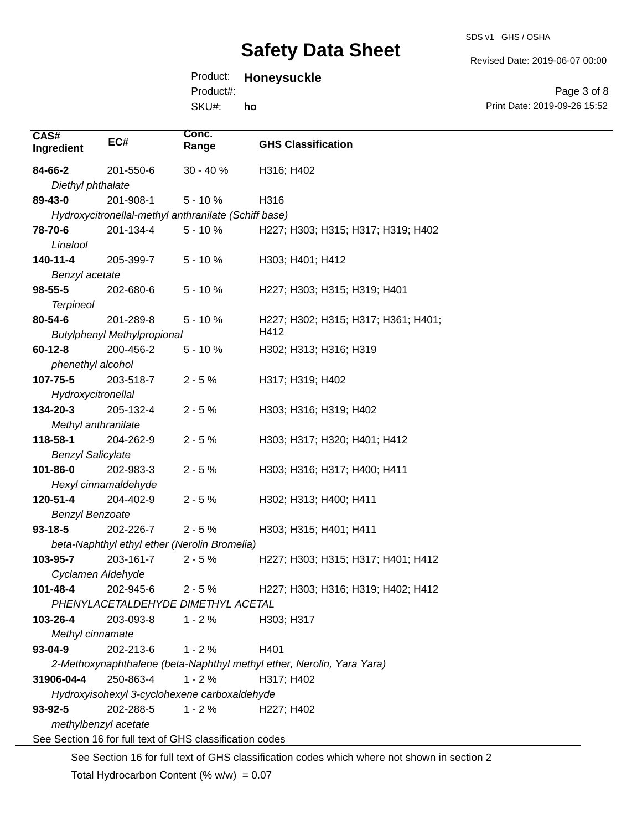Revised Date: 2019-06-07 00:00

# Product: **Honeysuckle**

SKU#: Product#: **ho**

Page 3 of 8 Print Date: 2019-09-26 15:52

| CAS#<br>Ingredient                                                                          | EC#                                                  | Conc.<br>Range | <b>GHS Classification</b>                                             |  |
|---------------------------------------------------------------------------------------------|------------------------------------------------------|----------------|-----------------------------------------------------------------------|--|
| 84-66-2                                                                                     | 201-550-6                                            | $30 - 40%$     | H316; H402                                                            |  |
| Diethyl phthalate                                                                           |                                                      |                |                                                                       |  |
| 89-43-0                                                                                     | 201-908-1                                            | $5 - 10%$      | H316                                                                  |  |
|                                                                                             | Hydroxycitronellal-methyl anthranilate (Schiff base) |                |                                                                       |  |
| 78-70-6                                                                                     | 201-134-4                                            | $5 - 10%$      | H227; H303; H315; H317; H319; H402                                    |  |
| Linalool                                                                                    |                                                      |                |                                                                       |  |
| 140-11-4                                                                                    | 205-399-7                                            | $5 - 10%$      | H303; H401; H412                                                      |  |
| Benzyl acetate                                                                              |                                                      |                |                                                                       |  |
| $98 - 55 - 5$                                                                               | 202-680-6                                            | $5 - 10%$      | H227; H303; H315; H319; H401                                          |  |
| <b>Terpineol</b>                                                                            |                                                      |                |                                                                       |  |
| 80-54-6                                                                                     | 201-289-8                                            | $5 - 10%$      | H227; H302; H315; H317; H361; H401;                                   |  |
|                                                                                             | <b>Butylphenyl Methylpropional</b>                   |                | H412                                                                  |  |
| $60 - 12 - 8$                                                                               | 200-456-2                                            | $5 - 10%$      | H302; H313; H316; H319                                                |  |
| phenethyl alcohol                                                                           |                                                      |                |                                                                       |  |
| 107-75-5                                                                                    | 203-518-7                                            | $2 - 5%$       | H317; H319; H402                                                      |  |
| Hydroxycitronellal                                                                          |                                                      |                |                                                                       |  |
| 134-20-3                                                                                    | 205-132-4                                            | $2 - 5%$       | H303; H316; H319; H402                                                |  |
| Methyl anthranilate                                                                         |                                                      |                |                                                                       |  |
| 118-58-1                                                                                    | 204-262-9                                            | $2 - 5%$       | H303; H317; H320; H401; H412                                          |  |
| <b>Benzyl Salicylate</b>                                                                    |                                                      |                |                                                                       |  |
| 101-86-0                                                                                    | 202-983-3                                            | $2 - 5%$       | H303; H316; H317; H400; H411                                          |  |
|                                                                                             | Hexyl cinnamaldehyde                                 |                |                                                                       |  |
| 120-51-4                                                                                    | 204-402-9                                            | $2 - 5%$       | H302; H313; H400; H411                                                |  |
| <b>Benzyl Benzoate</b>                                                                      |                                                      |                |                                                                       |  |
| $93 - 18 - 5$                                                                               | 202-226-7                                            | $2 - 5%$       | H303; H315; H401; H411                                                |  |
|                                                                                             | beta-Naphthyl ethyl ether (Nerolin Bromelia)         |                |                                                                       |  |
| 103-95-7                                                                                    | 203-161-7                                            | $2 - 5%$       | H227; H303; H315; H317; H401; H412                                    |  |
| Cyclamen Aldehyde                                                                           |                                                      |                |                                                                       |  |
| 101-48-4                                                                                    | 202-945-6                                            | $2 - 5%$       | H227; H303; H316; H319; H402; H412                                    |  |
|                                                                                             | PHENYLACETALDEHYDE DIMETHYL ACETAL                   |                |                                                                       |  |
| 103-26-4                                                                                    | 203-093-8                                            | $1 - 2%$       | H303; H317                                                            |  |
| Methyl cinnamate                                                                            |                                                      |                |                                                                       |  |
| $93 - 04 - 9$                                                                               | 202-213-6                                            | $1 - 2%$       | H401                                                                  |  |
|                                                                                             |                                                      |                | 2-Methoxynaphthalene (beta-Naphthyl methyl ether, Nerolin, Yara Yara) |  |
| 31906-04-4                                                                                  | 250-863-4                                            | $1 - 2%$       | H317; H402                                                            |  |
| Hydroxyisohexyl 3-cyclohexene carboxaldehyde                                                |                                                      |                |                                                                       |  |
| 93-92-5                                                                                     | 202-288-5                                            | $1 - 2%$       | H227; H402                                                            |  |
| methylbenzyl acetate                                                                        |                                                      |                |                                                                       |  |
| See Section 16 for full text of GHS classification codes                                    |                                                      |                |                                                                       |  |
| See Section 16 for full text of GHS classification codes which where not shown in section 2 |                                                      |                |                                                                       |  |

Total Hydrocarbon Content (%  $w/w$ ) = 0.07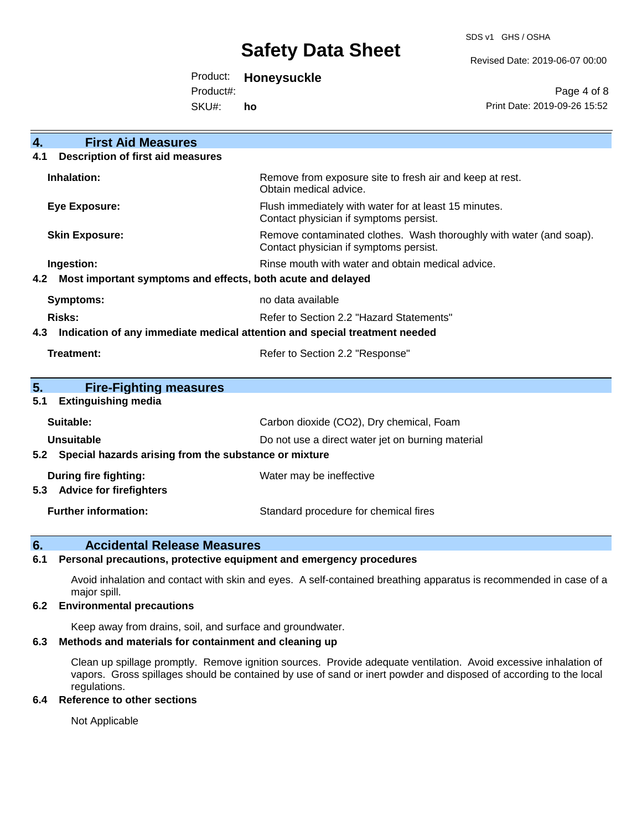SDS v1 GHS / OSHA

Revised Date: 2019-06-07 00:00

Product: **Honeysuckle**

Product#:

SKU#: **ho**

Page 4 of 8 Print Date: 2019-09-26 15:52

| <b>First Aid Measures</b><br>4.                                                   |                                                                                                               |  |
|-----------------------------------------------------------------------------------|---------------------------------------------------------------------------------------------------------------|--|
| <b>Description of first aid measures</b><br>4.1                                   |                                                                                                               |  |
| Inhalation:                                                                       | Remove from exposure site to fresh air and keep at rest.<br>Obtain medical advice.                            |  |
| <b>Eye Exposure:</b>                                                              | Flush immediately with water for at least 15 minutes.<br>Contact physician if symptoms persist.               |  |
| <b>Skin Exposure:</b>                                                             | Remove contaminated clothes. Wash thoroughly with water (and soap).<br>Contact physician if symptoms persist. |  |
| Ingestion:                                                                        | Rinse mouth with water and obtain medical advice.                                                             |  |
| Most important symptoms and effects, both acute and delayed<br>4.2                |                                                                                                               |  |
| <b>Symptoms:</b>                                                                  | no data available                                                                                             |  |
| Risks:                                                                            | Refer to Section 2.2 "Hazard Statements"                                                                      |  |
| Indication of any immediate medical attention and special treatment needed<br>4.3 |                                                                                                               |  |
| <b>Treatment:</b>                                                                 | Refer to Section 2.2 "Response"                                                                               |  |
|                                                                                   |                                                                                                               |  |
| 5.<br><b>Fire-Fighting measures</b><br><b>Extinguishing media</b><br>5.1          |                                                                                                               |  |
|                                                                                   |                                                                                                               |  |
| Suitable:                                                                         | Carbon dioxide (CO2), Dry chemical, Foam                                                                      |  |
| <b>Unsuitable</b>                                                                 | Do not use a direct water jet on burning material                                                             |  |
| Special hazards arising from the substance or mixture<br>5.2                      |                                                                                                               |  |
| During fire fighting:                                                             | Water may be ineffective                                                                                      |  |
| <b>Advice for firefighters</b><br>5.3                                             |                                                                                                               |  |
| <b>Further information:</b>                                                       | Standard procedure for chemical fires                                                                         |  |

### **6. Accidental Release Measures**

### **6.1 Personal precautions, protective equipment and emergency procedures**

Avoid inhalation and contact with skin and eyes. A self-contained breathing apparatus is recommended in case of a major spill.

### **6.2 Environmental precautions**

Keep away from drains, soil, and surface and groundwater.

### **6.3 Methods and materials for containment and cleaning up**

Clean up spillage promptly. Remove ignition sources. Provide adequate ventilation. Avoid excessive inhalation of vapors. Gross spillages should be contained by use of sand or inert powder and disposed of according to the local regulations.

### **6.4 Reference to other sections**

Not Applicable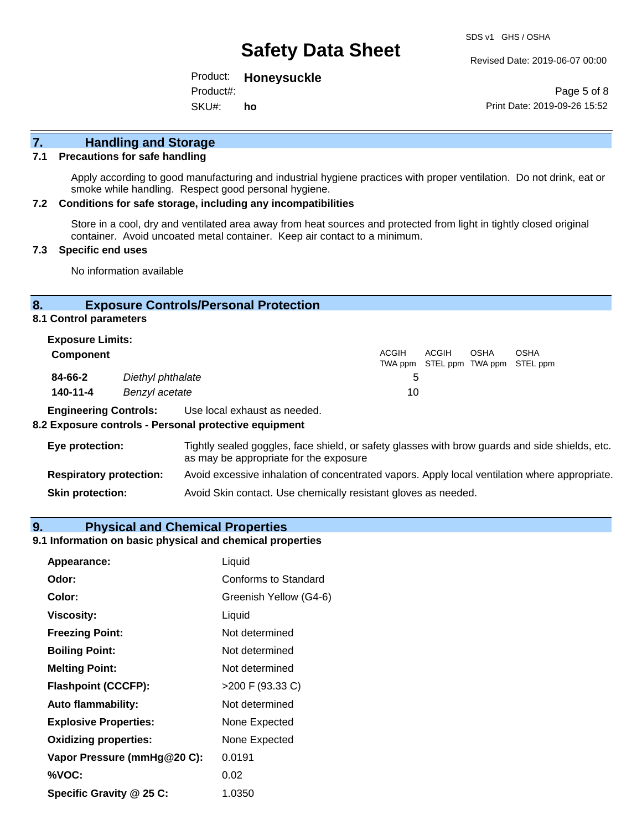Revised Date: 2019-06-07 00:00

Product: **Honeysuckle** Product#:

SKU#: **ho**

Page 5 of 8 Print Date: 2019-09-26 15:52

# **7. Handling and Storage**

#### **7.1 Precautions for safe handling**

Apply according to good manufacturing and industrial hygiene practices with proper ventilation. Do not drink, eat or smoke while handling. Respect good personal hygiene.

#### **7.2 Conditions for safe storage, including any incompatibilities**

Store in a cool, dry and ventilated area away from heat sources and protected from light in tightly closed original container. Avoid uncoated metal container. Keep air contact to a minimum.

### **7.3 Specific end uses**

No information available

### **8. Exposure Controls/Personal Protection**

**8.1 Control parameters**

| <b>Exposure Limits:</b><br><b>Component</b> |                                     | <b>ACGIH</b> | ACGIH | <b>OSHA</b> | <b>OSHA</b><br>TWA ppm STEL ppm TWA ppm STEL ppm |
|---------------------------------------------|-------------------------------------|--------------|-------|-------------|--------------------------------------------------|
| 84-66-2<br>140-11-4                         | Diethyl phthalate<br>Benzyl acetate | h<br>10      |       |             |                                                  |

**Engineering Controls:** Use local exhaust as needed.

#### **8.2 Exposure controls - Personal protective equipment**

| Eye protection:                | Tightly sealed goggles, face shield, or safety glasses with brow guards and side shields, etc.<br>as may be appropriate for the exposure |
|--------------------------------|------------------------------------------------------------------------------------------------------------------------------------------|
| <b>Respiratory protection:</b> | Avoid excessive inhalation of concentrated vapors. Apply local ventilation where appropriate.                                            |
| <b>Skin protection:</b>        | Avoid Skin contact. Use chemically resistant gloves as needed.                                                                           |

### **9. Physical and Chemical Properties**

### **9.1 Information on basic physical and chemical properties**

| Appearance:                  | Liquid                 |
|------------------------------|------------------------|
| Odor:                        | Conforms to Standard   |
| Color:                       | Greenish Yellow (G4-6) |
| Viscosity:                   | Liquid                 |
| <b>Freezing Point:</b>       | Not determined         |
| <b>Boiling Point:</b>        | Not determined         |
| <b>Melting Point:</b>        | Not determined         |
| <b>Flashpoint (CCCFP):</b>   | >200 F (93.33 C)       |
| <b>Auto flammability:</b>    | Not determined         |
| <b>Explosive Properties:</b> | None Expected          |
| <b>Oxidizing properties:</b> | None Expected          |
| Vapor Pressure (mmHg@20 C):  | 0.0191                 |
| %VOC:                        | 0.02                   |
| Specific Gravity @ 25 C:     | 1.0350                 |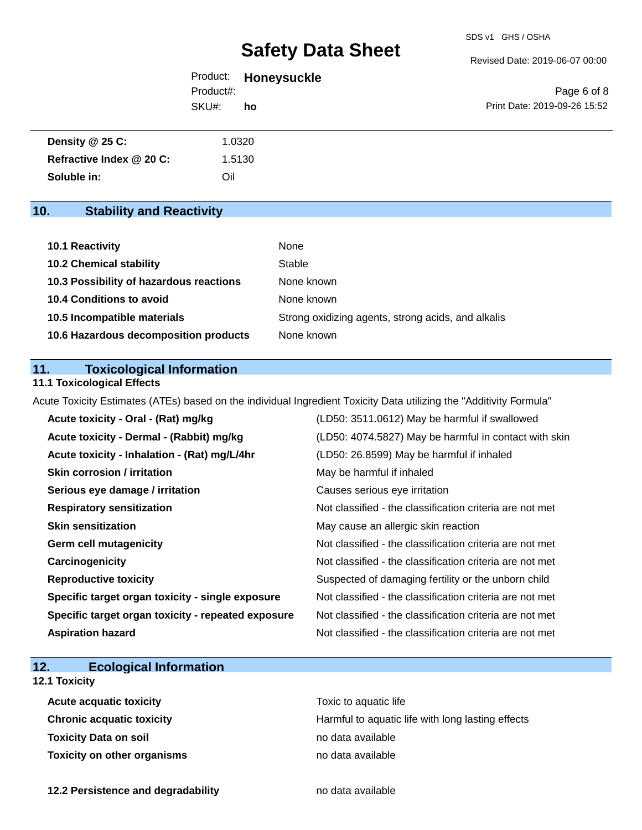Revised Date: 2019-06-07 00:00

|           | Product: Honeysuckle |
|-----------|----------------------|
| Product#: |                      |
| SKU#:     | ho                   |

Page 6 of 8 Print Date: 2019-09-26 15:52

| Density $@25C$ :         | 1.0320 |
|--------------------------|--------|
| Refractive Index @ 20 C: | 1.5130 |
| Soluble in:              | Oil    |

# **10. Stability and Reactivity**

| 10.1 Reactivity                         | None                                               |
|-----------------------------------------|----------------------------------------------------|
| <b>10.2 Chemical stability</b>          | Stable                                             |
| 10.3 Possibility of hazardous reactions | None known                                         |
| 10.4 Conditions to avoid                | None known                                         |
| 10.5 Incompatible materials             | Strong oxidizing agents, strong acids, and alkalis |
| 10.6 Hazardous decomposition products   | None known                                         |

### **11. Toxicological Information**

### **11.1 Toxicological Effects**

Acute Toxicity Estimates (ATEs) based on the individual Ingredient Toxicity Data utilizing the "Additivity Formula"

| Acute toxicity - Oral - (Rat) mg/kg                | (LD50: 3511.0612) May be harmful if swallowed            |
|----------------------------------------------------|----------------------------------------------------------|
| Acute toxicity - Dermal - (Rabbit) mg/kg           | (LD50: 4074.5827) May be harmful in contact with skin    |
| Acute toxicity - Inhalation - (Rat) mg/L/4hr       | (LD50: 26.8599) May be harmful if inhaled                |
| <b>Skin corrosion / irritation</b>                 | May be harmful if inhaled                                |
| Serious eye damage / irritation                    | Causes serious eye irritation                            |
| <b>Respiratory sensitization</b>                   | Not classified - the classification criteria are not met |
| <b>Skin sensitization</b>                          | May cause an allergic skin reaction                      |
| <b>Germ cell mutagenicity</b>                      | Not classified - the classification criteria are not met |
| Carcinogenicity                                    | Not classified - the classification criteria are not met |
| <b>Reproductive toxicity</b>                       | Suspected of damaging fertility or the unborn child      |
| Specific target organ toxicity - single exposure   | Not classified - the classification criteria are not met |
| Specific target organ toxicity - repeated exposure | Not classified - the classification criteria are not met |
| <b>Aspiration hazard</b>                           | Not classified - the classification criteria are not met |

# **12. Ecological Information**

### **12.1 Toxicity**

| <b>Acute acquatic toxicity</b> | Toxic to aquatic life                             |
|--------------------------------|---------------------------------------------------|
| Chronic acquatic toxicity      | Harmful to aquatic life with long lasting effects |
| Toxicity Data on soil          | no data available                                 |
| Toxicity on other organisms    | no data available                                 |

**12.2 Persistence and degradability no data available**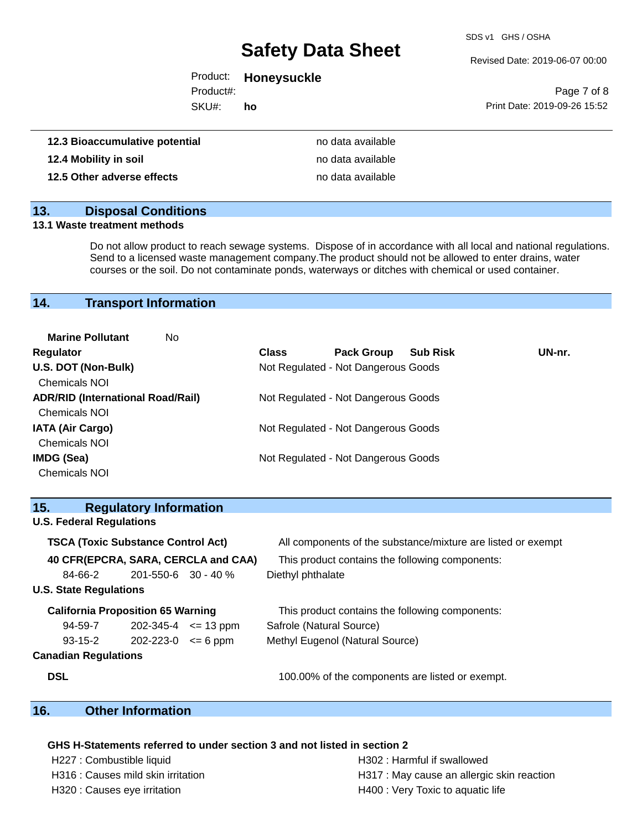SDS v1 GHS / OSHA

Revised Date: 2019-06-07 00:00

| Product:  | <b>Honeysuckle</b> |
|-----------|--------------------|
| Product#: |                    |

SKU#: **ho**

Page 7 of 8 Print Date: 2019-09-26 15:52

| 12.3 Bioaccumulative potential | no data available |
|--------------------------------|-------------------|
| 12.4 Mobility in soil          | no data available |
| 12.5 Other adverse effects     | no data available |

### **13. Disposal Conditions**

### **13.1 Waste treatment methods**

Do not allow product to reach sewage systems. Dispose of in accordance with all local and national regulations. Send to a licensed waste management company.The product should not be allowed to enter drains, water courses or the soil. Do not contaminate ponds, waterways or ditches with chemical or used container.

### **14. Transport Information**

| <b>Marine Pollutant</b><br>No.           |              |                                     |                 |        |
|------------------------------------------|--------------|-------------------------------------|-----------------|--------|
| Regulator                                | <b>Class</b> | <b>Pack Group</b>                   | <b>Sub Risk</b> | UN-nr. |
| U.S. DOT (Non-Bulk)                      |              | Not Regulated - Not Dangerous Goods |                 |        |
| <b>Chemicals NOI</b>                     |              |                                     |                 |        |
| <b>ADR/RID (International Road/Rail)</b> |              | Not Regulated - Not Dangerous Goods |                 |        |
| <b>Chemicals NOI</b>                     |              |                                     |                 |        |
| <b>IATA (Air Cargo)</b>                  |              | Not Regulated - Not Dangerous Goods |                 |        |
| <b>Chemicals NOI</b>                     |              |                                     |                 |        |
| <b>IMDG (Sea)</b>                        |              | Not Regulated - Not Dangerous Goods |                 |        |
| <b>Chemicals NOI</b>                     |              |                                     |                 |        |

|                                                                                                 | All components of the substance/mixture are listed or exempt                                                                                                                                                                                           |
|-------------------------------------------------------------------------------------------------|--------------------------------------------------------------------------------------------------------------------------------------------------------------------------------------------------------------------------------------------------------|
|                                                                                                 | This product contains the following components:                                                                                                                                                                                                        |
|                                                                                                 | Diethyl phthalate                                                                                                                                                                                                                                      |
|                                                                                                 |                                                                                                                                                                                                                                                        |
|                                                                                                 | This product contains the following components:                                                                                                                                                                                                        |
|                                                                                                 | Safrole (Natural Source)                                                                                                                                                                                                                               |
|                                                                                                 | Methyl Eugenol (Natural Source)                                                                                                                                                                                                                        |
|                                                                                                 |                                                                                                                                                                                                                                                        |
|                                                                                                 | 100.00% of the components are listed or exempt.                                                                                                                                                                                                        |
| <b>U.S. Federal Regulations</b><br><b>U.S. State Regulations</b><br><b>Canadian Regulations</b> | <b>Regulatory Information</b><br><b>TSCA (Toxic Substance Control Act)</b><br>40 CFR(EPCRA, SARA, CERCLA and CAA)<br>$201 - 550 - 6$ 30 - 40 %<br><b>California Proposition 65 Warning</b><br>$202 - 345 - 4 \leq 13$ ppm<br>$202 - 223 - 0 \le 6$ ppm |

## **16. Other Information**

#### **GHS H-Statements referred to under section 3 and not listed in section 2**

H227 : Combustible liquid H302 : Harmful if swallowed

H316 : Causes mild skin irritation **H**317 : May cause an allergic skin reaction H320 : Causes eye irritation **H400** : Very Toxic to aquatic life